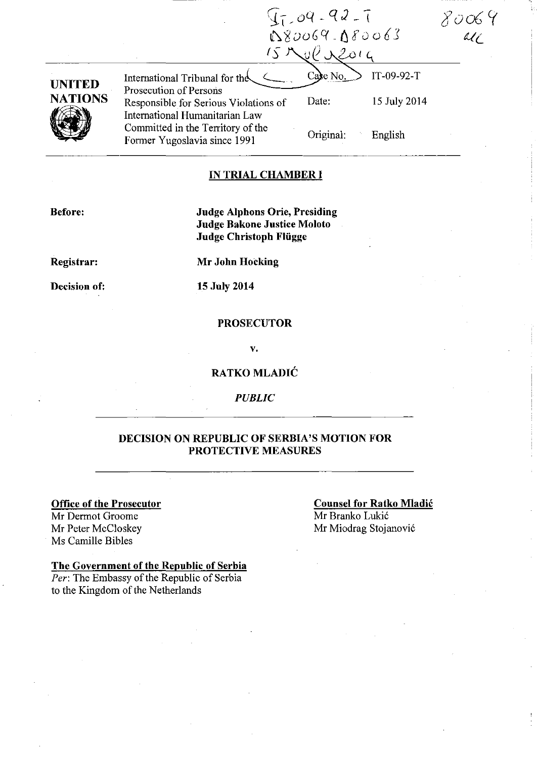|                                 |                                                                                                                                     | $97 - 99 - 92 - 1$<br>180069-180063 |                            |  |
|---------------------------------|-------------------------------------------------------------------------------------------------------------------------------------|-------------------------------------|----------------------------|--|
| <b>UNITED</b><br><b>NATIONS</b> | International Tribunal for the<br>Prosecution of Persons<br>Responsible for Serious Violations of<br>International Humanitarian Law | Case No.<br>Date:                   | IT-09-92-T<br>15 July 2014 |  |
|                                 | Committed in the Territory of the<br>Former Yugoslavia since 1991                                                                   | Original:                           | English                    |  |

### **IN TRIAL CHAMBER I**

**Before:** 

**Judge Alphons Orie, Presiding Judge Bakone Justice Moloto Judge Christoph Fliigge** 

**Registrar:** 

**Mr John Hocking** 

**Decision of:** 

**15 July 2014** 

### **PROSECUTOR**

v.

### **RATKO MLADIC**

*PUBLIC* 

### **DECISION ON REPUBLIC OF SERBIA'S MOTION FOR PROTECTIVE MEASURES**

### **Office of the Prosecutor**

Mr Dermot Groome Mr Peter McCloskey Ms Camille Bibles

#### **Counsel for Ratko Mladic**

Mr Branko Lukic Mr Miodrag Stojanovic

### **The Government of the Republic of Serbia**

*Per:* The Embassy of the Republic of Serbia to the Kingdom of the Netherlands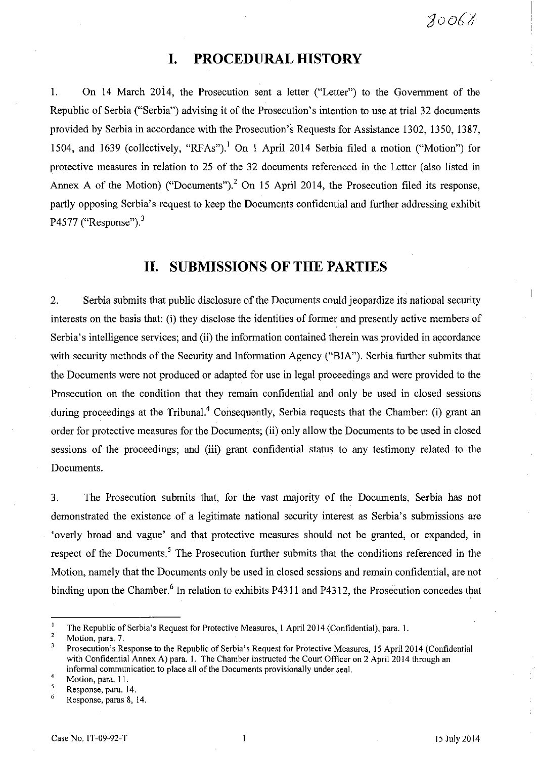# **I. PROCEDURAL HISTORY**

I. On 14 March 2014, the Prosecution sent a letter ("Letter") to the Government of the Republic of Serbia ("Serbia") advising it of the Prosecution's intention to use at trial 32 documents provided by Serbia in accordance with the Prosecution's Requests for Assistance 1302, 1350, 1387, 1504, and 1639 (collectively, "RFAs").<sup>1</sup> On 1 April 2014 Serbia filed a motion ("Motion") for protective measures in relation to 25 of the 32 documents referenced in the Letter (also listed in Annex A of the Motion) ("Documents").<sup>2</sup> On 15 April 2014, the Prosecution filed its response, partly opposing Serbia's request to keep the Documents confidential and further addressing exhibit P4577 ("Response"). $3$ 

# **II. SUBMISSIONS OF THE PARTIES**

2. Serbia submits that public disclosure of the Documents could jeopardize its national security interests on the basis that: (i) they disclose the identities of former and presently active members of Serbia's intelligence services; and (ii) the information contained therein was provided in accordance with security methods of the Security and Information Agency ("BIA"). Serbia further submits that the Documents were not produced or adapted for use in legal proceedings and were provided to the Prosecution on the condition that they remain confidential and only be used in closed sessions during proceedings at the Tribunal.<sup>4</sup> Consequently, Serbia requests that the Chamber: (i) grant an order for protective measures for the Documents; (ii) only allow the Documents to be used in closed sessions of the proceedings; and (iii) grant confidential status to any testimony related to the Documents.

3. The Prosecution submits that, for the vast majority of the Documents, Serbia has not demonstrated the existence of a legitimate national security interest as Serbia's submissions are 'overly broad and vague' and that protective measures should not be granted, or expanded, in respect of the Documents.<sup>5</sup> The Prosecution further submits that the conditions referenced in the Motion, namely that the Documents only be used in closed sessions and remain confidential, are not binding upon the Chamber.<sup>6</sup> In relation to exhibits P4311 and P4312, the Prosecution concedes that

 $\mathbf{I}$ The Republic of Serbia's Request for Protective Measures, 1 April 2014 (Confidential), para. 1.

 $\overline{c}$ Motion, para. 7.

 $\overline{\mathbf{3}}$ Prosecution's Response to the Republic of Serbia's Request for Protective Measures, 15 April 2014 (Confidential with Confidential Annex A) para. 1. The Chamber instructed the Court Officer on 2 April 2014 through an informal communication to place all of the Documents provisionally under seal.

<sup>4</sup>  Motion, para. 11. 5

<sup>6</sup>  Response, para. 14.

Response, paras 8, 14.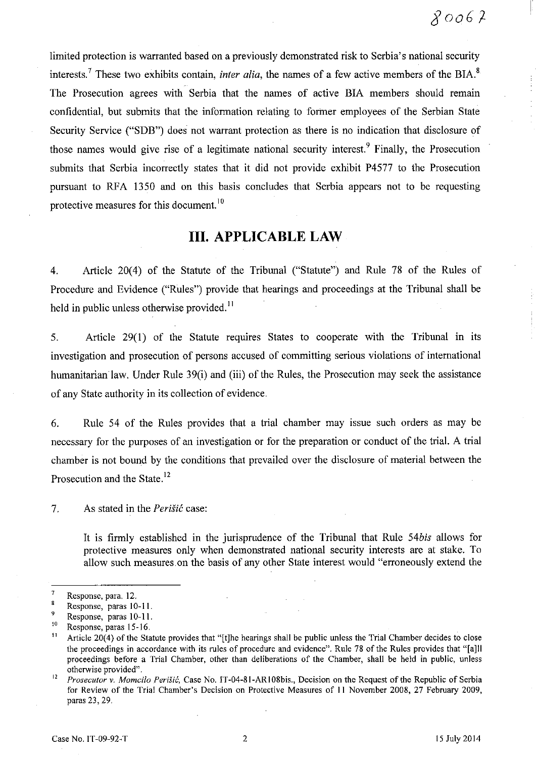I

limited protection is warranted based on a previously demonstrated risk to Serbia's national security interests.<sup>7</sup> These two exhibits contain, *inter alia*, the names of a few active members of the BIA.<sup>8</sup> The Prosecution agrees with Serbia that the names of active BIA members should remain confidential, but submits that the information relating to foriner employees of the Serbian State Security Service ("SDB") does not warrant protection as there is no indication that disclosure of those names would give rise of a legitimate national security interest. Finally, the Prosecution submits that Serbia incorrectly states that it did not provide exhibit P4577 to the Prosecution pursuant to RFA 1350 and on this basis concludes that Serbia appears not to be requesting protective measures for this document.<sup>10</sup>

# **III. APPLICABLE LAW**

4. Article 20(4) of the Statute of the Tribunal ("Statute") and Rule 78 of the Rules of Procedure and Evidence ("Rules") provide that hearings and proceedings at the Tribunal shall be held in public unless otherwise provided. $<sup>11</sup>$ </sup>

5. Article 29(1) of the Statute requires States to cooperate with the Tribunal in its investigation and prosecution of persons accused of committing serious violations of international humanitarian law. Under Rule 39(i) and (iii) of the Rules, the Prosecution may seek the assistance of any State authority in its collection of evidence.

6. Rule 54 of the Rules provides that a trial chamber may issue such orders as may be necessary for the purposes of an investigation or for the preparation or conduct of the trial. A trial chamber is not bound by the conditions that prevailed over the disclosure of material between the Prosecution and the State.<sup>12</sup>

7. As stated in the *PeriSie* case:

It is firmly established in the jurisprudence of the Tribunal that Rule *54bis* allows for protective measures only when demonstrated national security interests are at stake. To allow such measures. on the basis of any other State interest would "erroneously extend the

 $\frac{7}{8}$  Response, para. 12.

Response, paras 10-11.

 $^{9}$  Response, paras 10-11.

<sup>&</sup>lt;sup>10</sup> Response, paras 15-16.<br><sup>11</sup> Article 20(4) of the Sta

Article 20(4) of the Statute provides that "[t]he hearings shall be public unless the Trial Chamber decides to close the proceedings in accordance with its rules of procedure and evidence". Rule 78 of the Rules provides that "[aJII proceedings before a Trial Chamber, other than deliberations of the Chamber, shall be held in public, unless otherwise provided".

<sup>&</sup>lt;sup>12</sup> Prosecutor v. Momcilo Perišić, Case No. 1T-04-81-AR108bis., Decision on the Request of the Republic of Serbia for Review of the Trial Chamber's Decision on Protective Measures of II November 2008, 27 February 2009, paras 23, 29.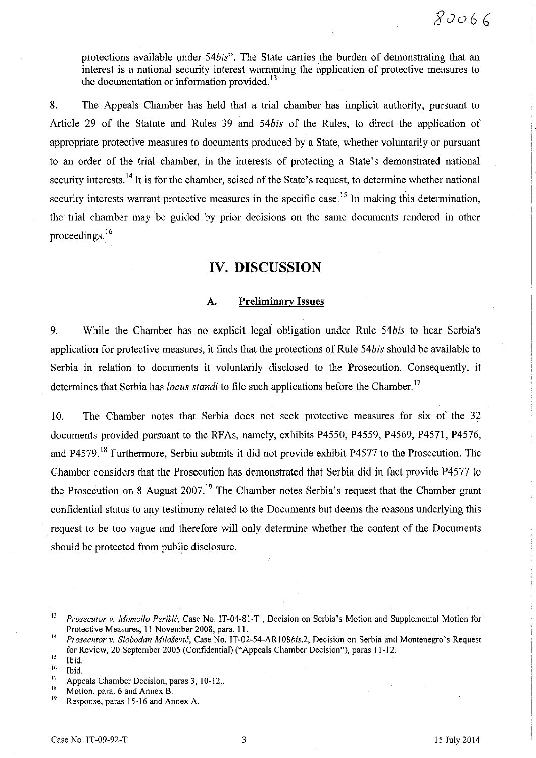protections available under *54bis".* The State carries the burden of demonstrating that an interest is a national security interest warranting the application of protective measures to the documentation or information provided. $^{13}$ 

8. The Appeals Chamber has held that a trial chamber has implicit authority, pursuant to Article 29 of the Statute and Rules 39 and *54bis* of the Rules, to direct the application of appropriate protective measures to documents produced by a State, whether voluntarily or pursuant to an order of the trial chamber, in the interests of protecting a State's demonstrated national security interests.<sup>14</sup> It is for the chamber, seised of the State's request, to determine whether national security interests warrant protective measures in the specific case.<sup>15</sup> In making this determination, the trial chamber may be guided by prior decisions on the same documents rendered in other proceedings. 16

# **IV. DISCUSSION**

### A. **Preliminary Issues**

9. While the Chamber has no explicit legal obligation under Rule *54bis* to hear Serbia's application for protective measures, it finds that the protections of Rule *54bis* should be available to Serbia in relation to documents it voluntarily disclosed to the Prosecution. Consequently, it determines that Serbia has *locus standi* to file such applications before the Chamber.<sup>17</sup>

10. The Chamber notes that Serbia does not seek protective measures for six of the 32 documents provided pursuant to the RFAs, namely, exhibits P4550, P4559, P4569, P4571, P4576, and P4579. 18 Furthermore, Serbia submits it did not provide exhibit P4577 to the Prosecution. The Chamber considers that the Prosecution has demonstrated that Serbia did in fact provide P4577 to the Prosecution on 8 August 2007.<sup>19</sup> The Chamber notes Serbia's request that the Chamber grant confidential status to any testimony related to the Documents but deems the reasons underlying this request to be too vague and therefore will only determine whether the content of the Documents should be protected from public disclosure.

<sup>&</sup>lt;sup>13</sup> *Prosecutor v. Momcilo Perišić*, Case No. IT-04-81-T, Decision on Serbia's Motion and Supplemental Motion for Protective Measures, 11 November 200S, para. 11.

<sup>14</sup>*Prosecutor v. Slobodan Milosevic,* Case No. *IT-02-54-ARIOSbis.2,* Decision on Serbia and Montenegro's Request for Review, 20 September 2005 (Confidential) ("Appeals Chamber Decision"), paras 11-12.

 $^{15}$  Ibid.

 $\frac{16}{17}$  Ibid.

 $^{17}$  Appeals Chamber Decision, paras 3, 10-12..

<sup>&</sup>lt;sup>18</sup> Motion, para. 6 and Annex B.

Response, paras 15-16 and Annex A.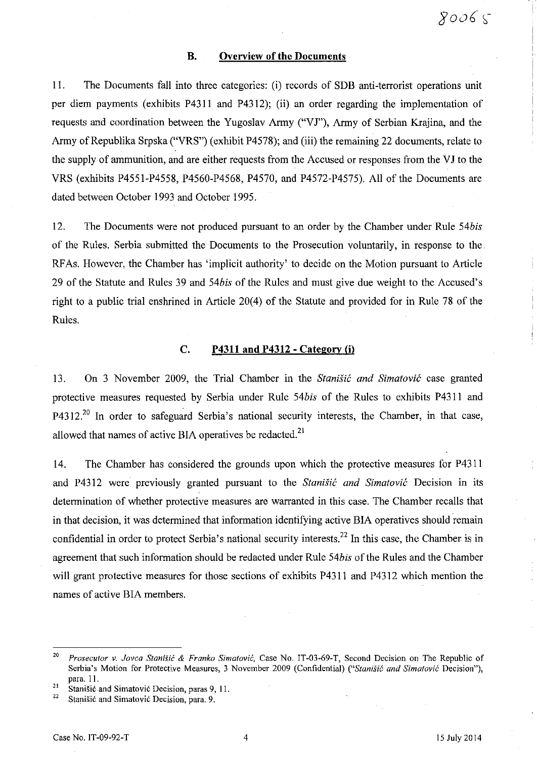#### B. Overview of the Documents

II. The Documents fall into three categories: (i) records of SDB anti-terrorist operations unit per diem payments (exhibits P4311 and P4312); (ii) an order regarding the implementation of requests and coordination between the Yugoslav Army ("VJ"), Army of Serbian Krajina, and the Army of Republika Srpska ("VRS") (exhibit P4578); and (iii) the remaining 22 documents, relate to the supply of ammunition, and are either requests from the Accused or responses from the VJ to the VRS (exhibits P4551-P4558, P4560-P4568, P4570, and P4572-P4575). All of the Documents are dated between October 1993 and October 1995.

12. The Documents were not produced pursuant to an order by the Chamber under Rule *54bis*  of the Rules. Serbia submitted the Documents to the Prosecution voluntarily, in response to the. RF As. However, the Chamber has 'implicit authority' to decide on the Motion pursuant to Article 29 of the Statute and Rules 39 and *54bis* of the Rules and must give due weight to the Accused's right to a public trial enshrined in Article 20(4) of the Statute and provided for in Rule 78 of the Rules.

#### C. P4311 and P4312 - Category (j)

13. On 3 November 2009, the Trial Chamber in the *Stanisic and Simatovic* case granted protective measures requested by Serbia under Rule *54bis* of the Rules to exhibits P43ll and P4312.<sup>20</sup> In order to safeguard Serbia's national security interests, the Chamber, in that case, allowed that names of active BIA operatives be redacted.<sup>21</sup>

14. The Chamber has considered the grounds upon which the protective measures for P4311 and P43l2 were previously granted pursuant to the *Stanisic and Simatovic* Decision in its determination of whether protective measures are warranted in this case. The Chamber recalls that in that decision, it was determined that information identifying active BIA operatives should remain confidential in order to protect Serbia's national security interests.<sup>22</sup> In this case, the Chamber is in agreement that such information should be redacted under Rule *54bis* of the Rules and the Chamber will grant protective measures for those sections of exhibits P4311 and P4312 which mention the names of active BIA members.

<sup>&</sup>lt;sup>20</sup> Prosecutor v. *Jovca Stanišić & Franko Simatović*, Case No. IT-03-69-T, Second Decision on The Republic of Serbia's Motion for Protective Measures, 3 November 2009 (Confidential) *("Stanišić and Simatović Decision")*, para. II.

<sup>&</sup>lt;sup>21</sup> Stanišić and Simatović Decision, paras 9, 11.<br><sup>22</sup> Stanišić and Simatović Desision, para. 0.

Stanišić and Simatović Decision, para. 9.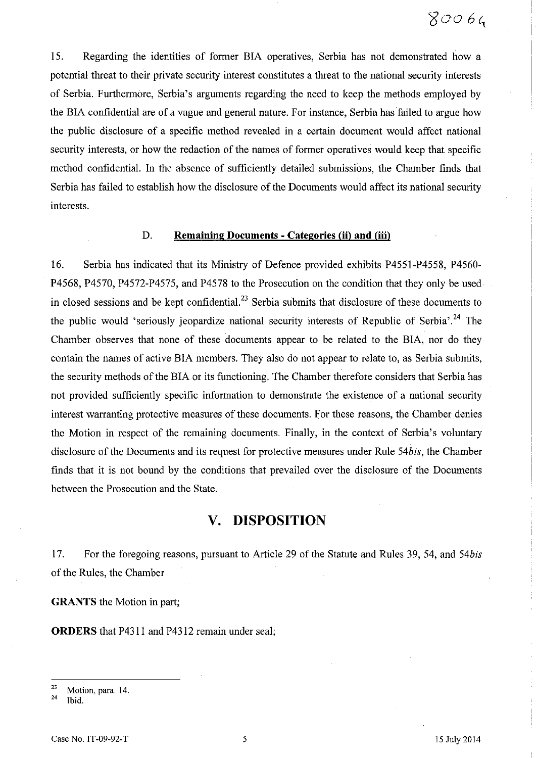15. Regarding the identities of former BIA operatives, Serbia has not demonstrated how a potential threat to their private security interest constitutes a threat to the national security interests of Serbia. Furthermore, Serbia's arguments regarding the need to keep the methods employed by the BIA confidential are of a vague and general nature. For instance, Serbia has failed to argue how the public disclosure of a specific method revealed in a certain document would affect national security interests, or how the redaction of the names of former operatives would keep that specific method confidential. In the absence of sufficiently detailed submissions, the Chamber finds that Serbia has failed to establish how the disclosure of the Documents would affect its national security interests.

#### D. **Remaining Documents - Categories (ii) and (iii)**

16. Serbia has indicated that its Ministry of Defence provided exhibits P4551-P4558, P4560- P4568, P4570, P4572-P4575, and P4578 to the Prosecution on the condition that they only be used in closed sessions and be kept confidential.<sup>23</sup> Serbia submits that disclosure of these documents to the public would 'seriously jeopardize national security interests of Republic of Serbia'.<sup>24</sup> The Chamber observes that none of these documents appear to be related to the BIA, nor do they contain the names of active BIA members. They also do not appear to relate to, as Serbia submits, the security methods of the BIA or its functioning. The Chamber therefore considers that Serbia has not provided sufficiently specific information to demonstrate the existence of a national security interest warranting protective measures of these documents. For these reasons, the Chamber denies the Motion in respect of the remaining documents. Finally, in the context of Serbia's voluntary disclosure of the Documents and its request for protective measures under Rule *54bis,* the Chamber finds that it is not bound by the conditions that prevailed over the disclosure of the Documents between the Prosecution and the State.

# **v. DISPOSITION**

17. For the foregoing reasons, pursuant to Article 29 of the Statute and Rules 39, 54, and *54bis*  of the Rules, the Chamber

**GRANTS** the Motion in part;

**ORDERS** that P4311 and P4312 remain under seal;

 $\frac{23}{24}$  Motion, para. 14.

Ibid.